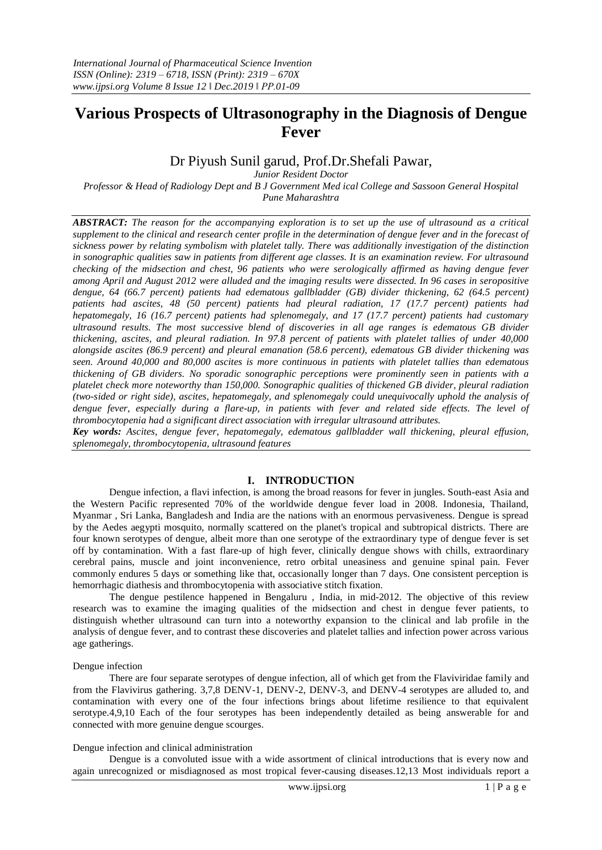# **Various Prospects of Ultrasonography in the Diagnosis of Dengue Fever**

# Dr Piyush Sunil garud, Prof.Dr.Shefali Pawar,

*Junior Resident Doctor* 

*Professor & Head of Radiology Dept and B J Government Med ical College and Sassoon General Hospital Pune Maharashtra*

*ABSTRACT: The reason for the accompanying exploration is to set up the use of ultrasound as a critical supplement to the clinical and research center profile in the determination of dengue fever and in the forecast of sickness power by relating symbolism with platelet tally. There was additionally investigation of the distinction in sonographic qualities saw in patients from different age classes. It is an examination review. For ultrasound checking of the midsection and chest, 96 patients who were serologically affirmed as having dengue fever among April and August 2012 were alluded and the imaging results were dissected. In 96 cases in seropositive*  dengue, 64 (66.7 percent) patients had edematous gallbladder (GB) divider thickening, 62 (64.5 percent) *patients had ascites, 48 (50 percent) patients had pleural radiation, 17 (17.7 percent) patients had hepatomegaly, 16 (16.7 percent) patients had splenomegaly, and 17 (17.7 percent) patients had customary ultrasound results. The most successive blend of discoveries in all age ranges is edematous GB divider thickening, ascites, and pleural radiation. In 97.8 percent of patients with platelet tallies of under 40,000 alongside ascites (86.9 percent) and pleural emanation (58.6 percent), edematous GB divider thickening was seen. Around 40,000 and 80,000 ascites is more continuous in patients with platelet tallies than edematous thickening of GB dividers. No sporadic sonographic perceptions were prominently seen in patients with a platelet check more noteworthy than 150,000. Sonographic qualities of thickened GB divider, pleural radiation (two-sided or right side), ascites, hepatomegaly, and splenomegaly could unequivocally uphold the analysis of dengue fever, especially during a flare-up, in patients with fever and related side effects. The level of thrombocytopenia had a significant direct association with irregular ultrasound attributes. Key words: Ascites, dengue fever, hepatomegaly, edematous gallbladder wall thickening, pleural effusion,* 

*splenomegaly, thrombocytopenia, ultrasound features*

### **I. INTRODUCTION**

Dengue infection, a flavi infection, is among the broad reasons for fever in jungles. South-east Asia and the Western Pacific represented 70% of the worldwide dengue fever load in 2008. Indonesia, Thailand, Myanmar , Sri Lanka, Bangladesh and India are the nations with an enormous pervasiveness. Dengue is spread by the Aedes aegypti mosquito, normally scattered on the planet's tropical and subtropical districts. There are four known serotypes of dengue, albeit more than one serotype of the extraordinary type of dengue fever is set off by contamination. With a fast flare-up of high fever, clinically dengue shows with chills, extraordinary cerebral pains, muscle and joint inconvenience, retro orbital uneasiness and genuine spinal pain. Fever commonly endures 5 days or something like that, occasionally longer than 7 days. One consistent perception is hemorrhagic diathesis and thrombocytopenia with associative stitch fixation.

The dengue pestilence happened in Bengaluru , India, in mid-2012. The objective of this review research was to examine the imaging qualities of the midsection and chest in dengue fever patients, to distinguish whether ultrasound can turn into a noteworthy expansion to the clinical and lab profile in the analysis of dengue fever, and to contrast these discoveries and platelet tallies and infection power across various age gatherings.

#### Dengue infection

There are four separate serotypes of dengue infection, all of which get from the Flaviviridae family and from the Flavivirus gathering. 3,7,8 DENV-1, DENV-2, DENV-3, and DENV-4 serotypes are alluded to, and contamination with every one of the four infections brings about lifetime resilience to that equivalent serotype.4,9,10 Each of the four serotypes has been independently detailed as being answerable for and connected with more genuine dengue scourges.

#### Dengue infection and clinical administration

Dengue is a convoluted issue with a wide assortment of clinical introductions that is every now and again unrecognized or misdiagnosed as most tropical fever-causing diseases.12,13 Most individuals report a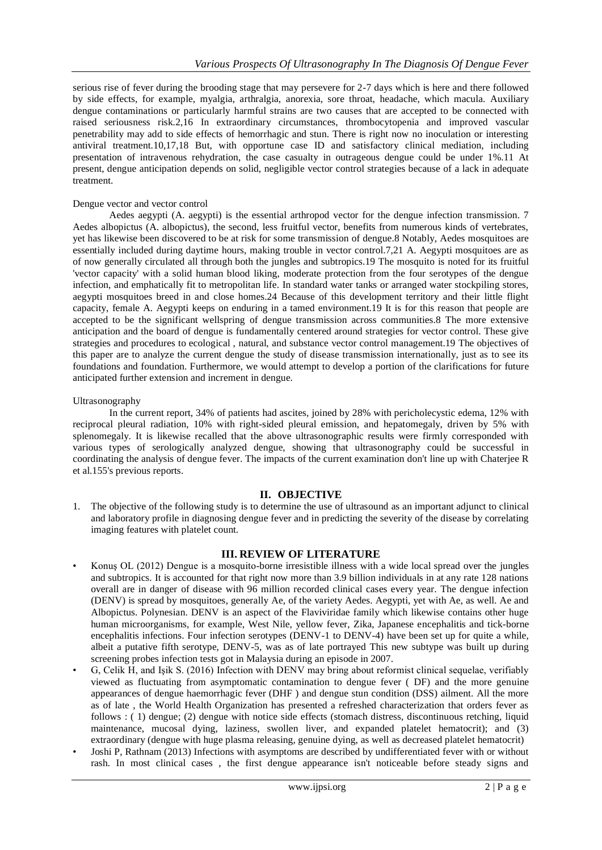serious rise of fever during the brooding stage that may persevere for 2-7 days which is here and there followed by side effects, for example, myalgia, arthralgia, anorexia, sore throat, headache, which macula. Auxiliary dengue contaminations or particularly harmful strains are two causes that are accepted to be connected with raised seriousness risk.2,16 In extraordinary circumstances, thrombocytopenia and improved vascular penetrability may add to side effects of hemorrhagic and stun. There is right now no inoculation or interesting antiviral treatment.10,17,18 But, with opportune case ID and satisfactory clinical mediation, including presentation of intravenous rehydration, the case casualty in outrageous dengue could be under 1%.11 At present, dengue anticipation depends on solid, negligible vector control strategies because of a lack in adequate treatment.

#### Dengue vector and vector control

Aedes aegypti (A. aegypti) is the essential arthropod vector for the dengue infection transmission. 7 Aedes albopictus (A. albopictus), the second, less fruitful vector, benefits from numerous kinds of vertebrates, yet has likewise been discovered to be at risk for some transmission of dengue.8 Notably, Aedes mosquitoes are essentially included during daytime hours, making trouble in vector control.7,21 A. Aegypti mosquitoes are as of now generally circulated all through both the jungles and subtropics.19 The mosquito is noted for its fruitful 'vector capacity' with a solid human blood liking, moderate protection from the four serotypes of the dengue infection, and emphatically fit to metropolitan life. In standard water tanks or arranged water stockpiling stores, aegypti mosquitoes breed in and close homes.24 Because of this development territory and their little flight capacity, female A. Aegypti keeps on enduring in a tamed environment.19 It is for this reason that people are accepted to be the significant wellspring of dengue transmission across communities.8 The more extensive anticipation and the board of dengue is fundamentally centered around strategies for vector control. These give strategies and procedures to ecological , natural, and substance vector control management.19 The objectives of this paper are to analyze the current dengue the study of disease transmission internationally, just as to see its foundations and foundation. Furthermore, we would attempt to develop a portion of the clarifications for future anticipated further extension and increment in dengue.

#### Ultrasonography

In the current report, 34% of patients had ascites, joined by 28% with pericholecystic edema, 12% with reciprocal pleural radiation, 10% with right-sided pleural emission, and hepatomegaly, driven by 5% with splenomegaly. It is likewise recalled that the above ultrasonographic results were firmly corresponded with various types of serologically analyzed dengue, showing that ultrasonography could be successful in coordinating the analysis of dengue fever. The impacts of the current examination don't line up with Chaterjee R et al.155's previous reports.

#### **II. OBJECTIVE**

1. The objective of the following study is to determine the use of ultrasound as an important adjunct to clinical and laboratory profile in diagnosing dengue fever and in predicting the severity of the disease by correlating imaging features with platelet count.

### **III. REVIEW OF LITERATURE**

- Konuş OL (2012) Dengue is a mosquito-borne irresistible illness with a wide local spread over the jungles and subtropics. It is accounted for that right now more than 3.9 billion individuals in at any rate 128 nations overall are in danger of disease with 96 million recorded clinical cases every year. The dengue infection (DENV) is spread by mosquitoes, generally Ae, of the variety Aedes. Aegypti, yet with Ae, as well. Ae and Albopictus. Polynesian. DENV is an aspect of the Flaviviridae family which likewise contains other huge human microorganisms, for example, West Nile, yellow fever, Zika, Japanese encephalitis and tick-borne encephalitis infections. Four infection serotypes (DENV-1 to DENV-4) have been set up for quite a while, albeit a putative fifth serotype, DENV-5, was as of late portrayed This new subtype was built up during screening probes infection tests got in Malaysia during an episode in 2007.
- G, Celik H, and Işik S. (2016) Infection with DENV may bring about reformist clinical sequelae, verifiably viewed as fluctuating from asymptomatic contamination to dengue fever ( DF) and the more genuine appearances of dengue haemorrhagic fever (DHF ) and dengue stun condition (DSS) ailment. All the more as of late , the World Health Organization has presented a refreshed characterization that orders fever as follows : ( 1) dengue; (2) dengue with notice side effects (stomach distress, discontinuous retching, liquid maintenance, mucosal dying, laziness, swollen liver, and expanded platelet hematocrit); and (3) extraordinary (dengue with huge plasma releasing, genuine dying, as well as decreased platelet hematocrit)
- Joshi P, Rathnam (2013) Infections with asymptoms are described by undifferentiated fever with or without rash. In most clinical cases , the first dengue appearance isn't noticeable before steady signs and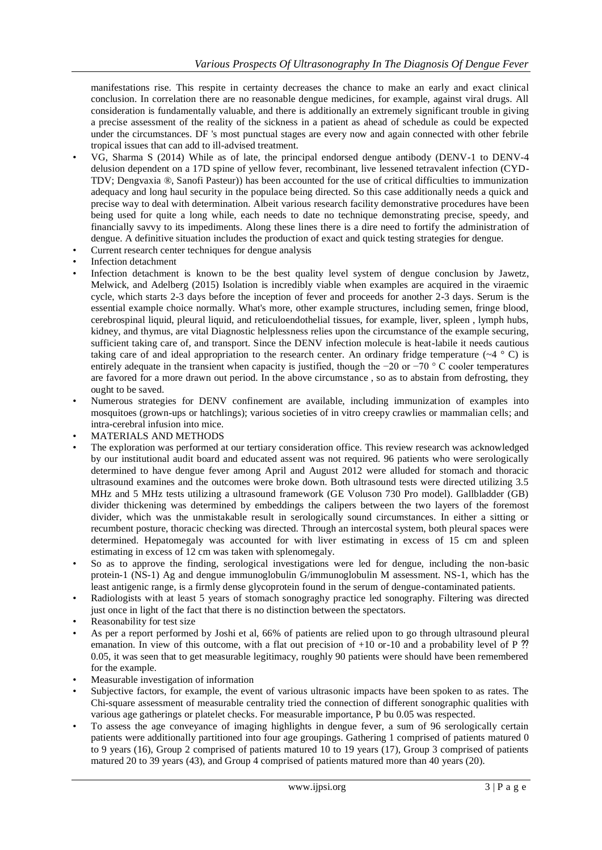manifestations rise. This respite in certainty decreases the chance to make an early and exact clinical conclusion. In correlation there are no reasonable dengue medicines, for example, against viral drugs. All consideration is fundamentally valuable, and there is additionally an extremely significant trouble in giving a precise assessment of the reality of the sickness in a patient as ahead of schedule as could be expected under the circumstances. DF 's most punctual stages are every now and again connected with other febrile tropical issues that can add to ill-advised treatment.

- VG, Sharma S (2014) While as of late, the principal endorsed dengue antibody (DENV-1 to DENV-4 delusion dependent on a 17D spine of yellow fever, recombinant, live lessened tetravalent infection (CYD-TDV; Dengvaxia ®, Sanofi Pasteur)) has been accounted for the use of critical difficulties to immunization adequacy and long haul security in the populace being directed. So this case additionally needs a quick and precise way to deal with determination. Albeit various research facility demonstrative procedures have been being used for quite a long while, each needs to date no technique demonstrating precise, speedy, and financially savvy to its impediments. Along these lines there is a dire need to fortify the administration of dengue. A definitive situation includes the production of exact and quick testing strategies for dengue.
- Current research center techniques for dengue analysis
- Infection detachment
- Infection detachment is known to be the best quality level system of dengue conclusion by Jawetz, Melwick, and Adelberg (2015) Isolation is incredibly viable when examples are acquired in the viraemic cycle, which starts 2-3 days before the inception of fever and proceeds for another 2-3 days. Serum is the essential example choice normally. What's more, other example structures, including semen, fringe blood, cerebrospinal liquid, pleural liquid, and reticuloendothelial tissues, for example, liver, spleen , lymph hubs, kidney, and thymus, are vital Diagnostic helplessness relies upon the circumstance of the example securing, sufficient taking care of, and transport. Since the DENV infection molecule is heat-labile it needs cautious taking care of and ideal appropriation to the research center. An ordinary fridge temperature ( $\sim$ 4  $\degree$  C) is entirely adequate in the transient when capacity is justified, though the −20 or −70 ° C cooler temperatures are favored for a more drawn out period. In the above circumstance , so as to abstain from defrosting, they ought to be saved.
- Numerous strategies for DENV confinement are available, including immunization of examples into mosquitoes (grown-ups or hatchlings); various societies of in vitro creepy crawlies or mammalian cells; and intra-cerebral infusion into mice.
- MATERIALS AND METHODS
- The exploration was performed at our tertiary consideration office. This review research was acknowledged by our institutional audit board and educated assent was not required. 96 patients who were serologically determined to have dengue fever among April and August 2012 were alluded for stomach and thoracic ultrasound examines and the outcomes were broke down. Both ultrasound tests were directed utilizing 3.5 MHz and 5 MHz tests utilizing a ultrasound framework (GE Voluson 730 Pro model). Gallbladder (GB) divider thickening was determined by embeddings the calipers between the two layers of the foremost divider, which was the unmistakable result in serologically sound circumstances. In either a sitting or recumbent posture, thoracic checking was directed. Through an intercostal system, both pleural spaces were determined. Hepatomegaly was accounted for with liver estimating in excess of 15 cm and spleen estimating in excess of 12 cm was taken with splenomegaly.
- So as to approve the finding, serological investigations were led for dengue, including the non-basic protein-1 (NS-1) Ag and dengue immunoglobulin G/immunoglobulin M assessment. NS-1, which has the least antigenic range, is a firmly dense glycoprotein found in the serum of dengue-contaminated patients.
- Radiologists with at least 5 years of stomach sonograghy practice led sonography. Filtering was directed just once in light of the fact that there is no distinction between the spectators.
- Reasonability for test size
- As per a report performed by Joshi et al, 66% of patients are relied upon to go through ultrasound pleural emanation. In view of this outcome, with a flat out precision of  $+10$  or-10 and a probability level of P ?? 0.05, it was seen that to get measurable legitimacy, roughly 90 patients were should have been remembered for the example.
- Measurable investigation of information
- Subjective factors, for example, the event of various ultrasonic impacts have been spoken to as rates. The Chi-square assessment of measurable centrality tried the connection of different sonographic qualities with various age gatherings or platelet checks. For measurable importance, P bu 0.05 was respected.
- To assess the age conveyance of imaging highlights in dengue fever, a sum of 96 serologically certain patients were additionally partitioned into four age groupings. Gathering 1 comprised of patients matured 0 to 9 years (16), Group 2 comprised of patients matured 10 to 19 years (17), Group 3 comprised of patients matured 20 to 39 years (43), and Group 4 comprised of patients matured more than 40 years (20).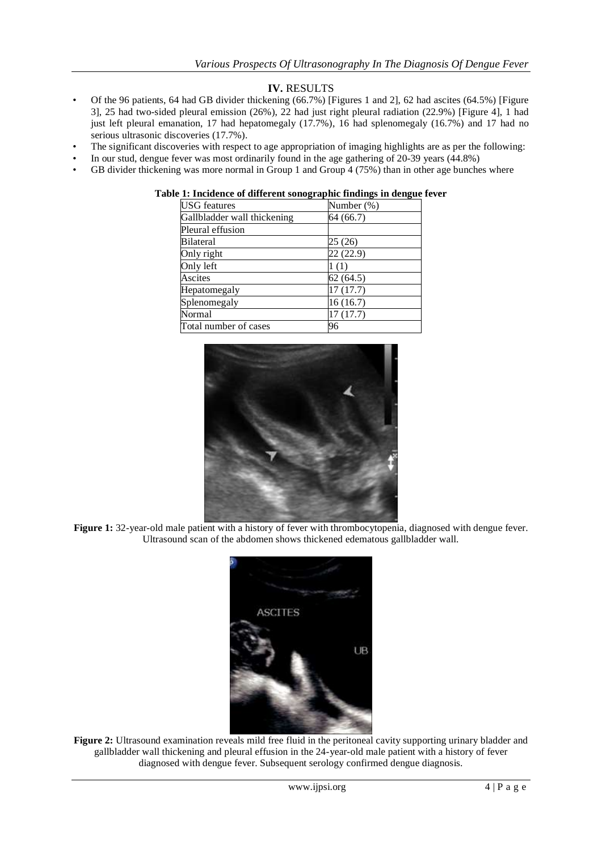# **IV.** RESULTS

- Of the 96 patients, 64 had GB divider thickening (66.7%) [Figures 1 and 2], 62 had ascites (64.5%) [Figure 3], 25 had two-sided pleural emission (26%), 22 had just right pleural radiation (22.9%) [Figure 4], 1 had just left pleural emanation, 17 had hepatomegaly (17.7%), 16 had splenomegaly (16.7%) and 17 had no serious ultrasonic discoveries (17.7%).
- The significant discoveries with respect to age appropriation of imaging highlights are as per the following:
- In our stud, dengue fever was most ordinarily found in the age gathering of 20-39 years (44.8%)
- GB divider thickening was more normal in Group 1 and Group 4 (75%) than in other age bunches where

| <b>USG</b> features         | Number (%) |
|-----------------------------|------------|
| Gallbladder wall thickening | 64 (66.7)  |
| Pleural effusion            |            |
| <b>Bilateral</b>            | 25 (26)    |
| Only right                  | 22 (22.9)  |
| Only left                   | 1(1)       |
| Ascites                     | 62(64.5)   |
| Hepatomegaly                | 17(17.7)   |
| Splenomegaly                | 16(16.7)   |
| Normal                      | 17(17.7)   |
| Total number of cases       | 96         |

## **Table 1: Incidence of different sonographic findings in dengue fever**



**Figure 1:** 32-year-old male patient with a history of fever with thrombocytopenia, diagnosed with dengue fever. Ultrasound scan of the abdomen shows thickened edematous gallbladder wall.



**Figure 2:** Ultrasound examination reveals mild free fluid in the peritoneal cavity supporting urinary bladder and gallbladder wall thickening and pleural effusion in the 24-year-old male patient with a history of fever diagnosed with dengue fever. Subsequent serology confirmed dengue diagnosis.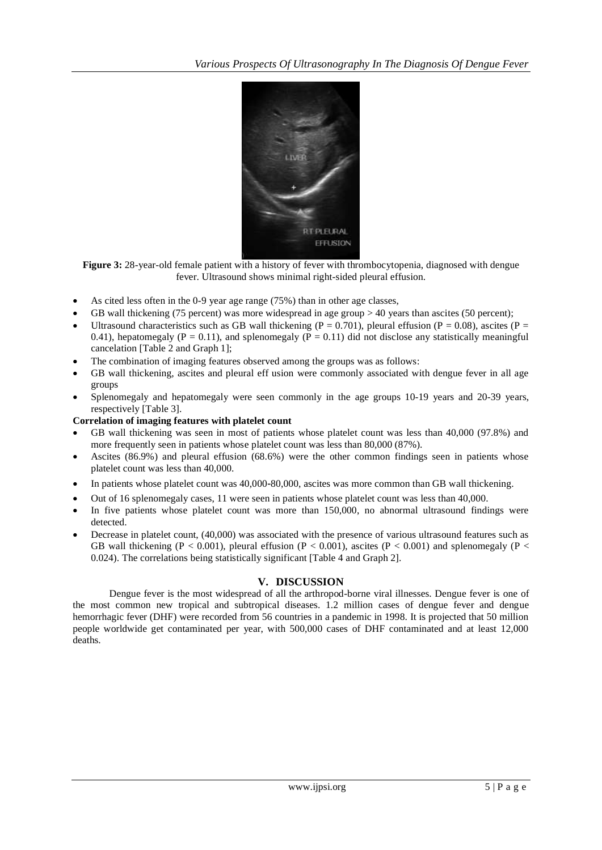

Figure 3: 28-year-old female patient with a history of fever with thrombocytopenia, diagnosed with dengue fever. Ultrasound shows minimal right-sided pleural effusion.

- As cited less often in the 0-9 year age range (75%) than in other age classes,
- GB wall thickening (75 percent) was more widespread in age group > 40 years than ascites (50 percent);
- Ultrasound characteristics such as GB wall thickening ( $P = 0.701$ ), pleural effusion ( $P = 0.08$ ), ascites ( $P = 0.08$ ) 0.41), hepatomegaly ( $P = 0.11$ ), and splenomegaly ( $\overline{P} = 0.11$ ) did not disclose any statistically meaningful cancelation [Table 2 and Graph 1];
- The combination of imaging features observed among the groups was as follows:
- GB wall thickening, ascites and pleural eff usion were commonly associated with dengue fever in all age groups
- Splenomegaly and hepatomegaly were seen commonly in the age groups 10-19 years and 20-39 years, respectively [Table 3].

#### **Correlation of imaging features with platelet count**

- GB wall thickening was seen in most of patients whose platelet count was less than 40,000 (97.8%) and more frequently seen in patients whose platelet count was less than 80,000 (87%).
- Ascites (86.9%) and pleural effusion (68.6%) were the other common findings seen in patients whose platelet count was less than 40,000.
- In patients whose platelet count was 40,000–80,000, ascites was more common than GB wall thickening.
- Out of 16 splenomegaly cases, 11 were seen in patients whose platelet count was less than 40,000.
- In five patients whose platelet count was more than 150,000, no abnormal ultrasound findings were detected.
- Decrease in platelet count, (40,000) was associated with the presence of various ultrasound features such as GB wall thickening (P < 0.001), pleural effusion (P < 0.001), ascites (P < 0.001) and splenomegaly (P < 0.024). The correlations being statistically significant [Table 4 and Graph 2].

#### **V. DISCUSSION**

Dengue fever is the most widespread of all the arthropod-borne viral illnesses. Dengue fever is one of the most common new tropical and subtropical diseases. 1.2 million cases of dengue fever and dengue hemorrhagic fever (DHF) were recorded from 56 countries in a pandemic in 1998. It is projected that 50 million people worldwide get contaminated per year, with 500,000 cases of DHF contaminated and at least 12,000 deaths.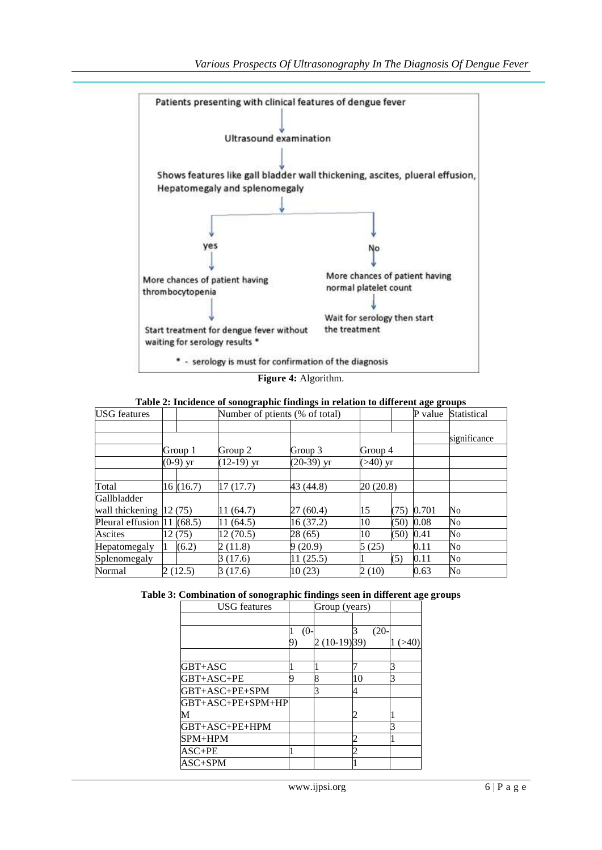

**Figure 4:** Algorithm.

| Table 2: Incidence of sonographic findings in relation to different age groups |  |  |
|--------------------------------------------------------------------------------|--|--|
|                                                                                |  |  |

| <b>USG</b> features                  |            | Number of ptients (% of total) |              |             |      | P value | Statistical  |
|--------------------------------------|------------|--------------------------------|--------------|-------------|------|---------|--------------|
|                                      |            |                                |              |             |      |         |              |
|                                      |            |                                |              |             |      |         | significance |
|                                      | Group 1    | Group 2                        | Group 3      | Group 4     |      |         |              |
|                                      | $(0-9)$ yr | $(12-19)$ yr                   | $(20-39)$ yr | $( >40)$ yr |      |         |              |
|                                      |            |                                |              |             |      |         |              |
| Total                                | 16(16.7)   | 17(17.7)                       | 43 (44.8)    | 20(20.8)    |      |         |              |
| Gallbladder                          |            |                                |              |             |      |         |              |
| wall thickening $ 12(75) $           |            | 11 (64.7)                      | 27(60.4)     | 15          | (75) | 0.701   | No           |
| Pleural effusion $ 11\rangle$ (68.5) |            | 11 (64.5)                      | 16(37.2)     | 10          | (50) | 0.08    | No           |
| Ascites                              | 12 (75)    | 12(70.5)                       | 28 (65)      | 10          | (50) | 0.41    | No           |
| Hepatomegaly                         | (6.2)      | 2(11.8)                        | 9(20.9)      | 5(25)       |      | 0.11    | No           |
| Splenomegaly                         |            | 3 (17.6)                       | 11(25.5)     |             | (5)  | 0.11    | No           |
| Normal                               | 2(12.5)    | 3 (17.6)                       | 10(23)       | 2 (10)      |      | 0.63    | No           |

|  |  |  |  | Table 3: Combination of sonographic findings seen in different age groups |
|--|--|--|--|---------------------------------------------------------------------------|
|--|--|--|--|---------------------------------------------------------------------------|

| <b>USG</b> features       |        | Group (years) |         |  |
|---------------------------|--------|---------------|---------|--|
|                           |        |               |         |  |
|                           | $(0 -$ |               | $(20 -$ |  |
|                           |        | $2(10-19)39$  |         |  |
|                           |        |               |         |  |
| GBT+ASC                   |        |               |         |  |
| GBT+ASC+PE                | O      | 8             | 10      |  |
| GBT+ASC+PE+SPM            |        |               |         |  |
| GBT+ASC+PE+SPM+HP         |        |               |         |  |
|                           |        |               | 2       |  |
| GBT+ASC+PE+HPM            |        |               |         |  |
| SPM+HPM                   |        |               | 2       |  |
| ASC+PE                    |        |               | 2       |  |
| $\mathsf{ASC}\text{+SPM}$ |        |               |         |  |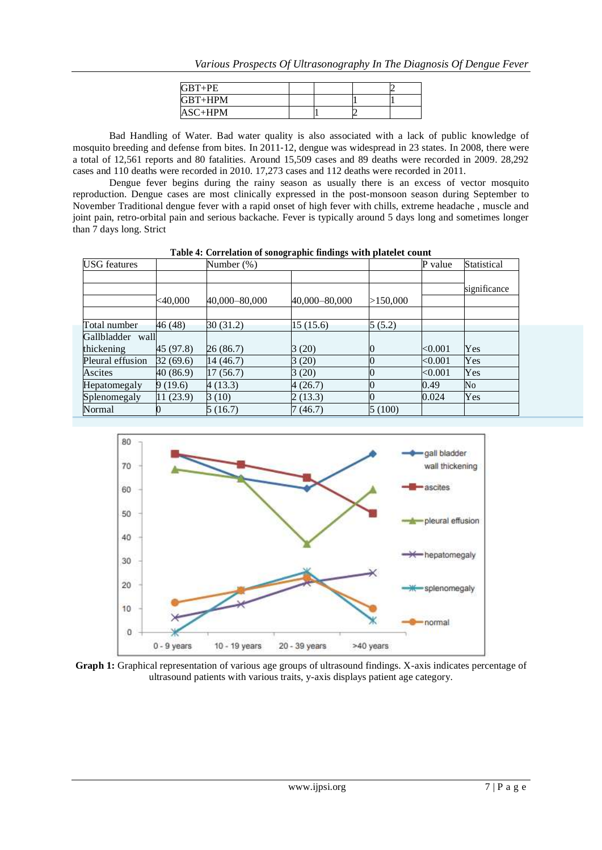| $GBT+PE$  |  |  |
|-----------|--|--|
| $GBT+HPM$ |  |  |
| $ASC+HPM$ |  |  |

Bad Handling of Water. Bad water quality is also associated with a lack of public knowledge of mosquito breeding and defense from bites. In 2011-12, dengue was widespread in 23 states. In 2008, there were a total of 12,561 reports and 80 fatalities. Around 15,509 cases and 89 deaths were recorded in 2009. 28,292 cases and 110 deaths were recorded in 2010. 17,273 cases and 112 deaths were recorded in 2011.

Dengue fever begins during the rainy season as usually there is an excess of vector mosquito reproduction. Dengue cases are most clinically expressed in the post-monsoon season during September to November Traditional dengue fever with a rapid onset of high fever with chills, extreme headache , muscle and joint pain, retro-orbital pain and serious backache. Fever is typically around 5 days long and sometimes longer than 7 days long. Strict

| <b>USG</b> features            |            | Number (%)    |               | P value  |                                      |              |
|--------------------------------|------------|---------------|---------------|----------|--------------------------------------|--------------|
|                                | $<$ 40,000 | 40,000-80,000 | 40,000-80,000 | >150,000 |                                      | significance |
| Total number                   | 46 (48)    | 30(31.2)      | 15(15.6)      | 5(5.2)   |                                      |              |
| Gallbladder wall<br>thickening | 45 (97.8)  | 26 (86.7)     | 3(20)         |          | < 0.001                              | Yes          |
| Pleural effusion               | 32(69.6)   | 14(46.7)      | 3(20)         |          | < 0.001                              | Yes          |
| Ascites                        | 40 (86.9)  | 17(56.7)      | 3 (20)        |          | $< \hspace{-0.00000.000000000000000$ | Yes          |
| Hepatomegaly                   | 9(19.6)    | 4(13.3)       | 4(26.7)       |          | 0.49                                 | No           |
| Splenomegaly                   | 11(23.9)   | 3(10)         | 2(13.3)       |          | 0.024                                | Yes          |
| Normal                         |            | 5(16.7)       | 7(46.7)       | 5(100)   |                                      |              |

**Table 4: Correlation of sonographic findings with platelet count**



**Graph 1:** Graphical representation of various age groups of ultrasound findings. X-axis indicates percentage of ultrasound patients with various traits, y-axis displays patient age category.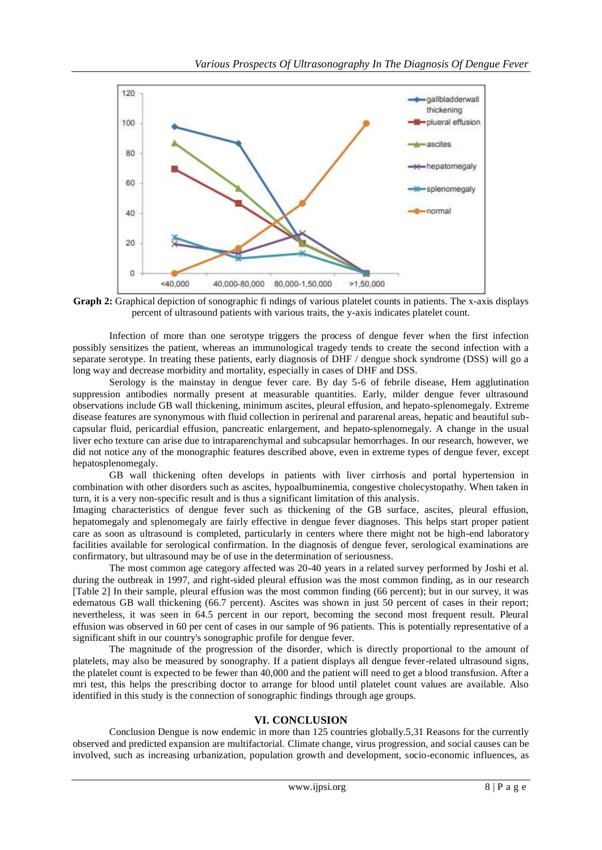

**Graph 2:** Graphical depiction of sonographic fi ndings of various platelet counts in patients. The x-axis displays percent of ultrasound patients with various traits, the y-axis indicates platelet count.

Infection of more than one serotype triggers the process of dengue fever when the first infection possibly sensitizes the patient, whereas an immunological tragedy tends to create the second infection with a separate serotype. In treating these patients, early diagnosis of DHF / dengue shock syndrome (DSS) will go a long way and decrease morbidity and mortality, especially in cases of DHF and DSS.

Serology is the mainstay in dengue fever care. By day 5-6 of febrile disease, Hem agglutination suppression antibodies normally present at measurable quantities. Early, milder dengue fever ultrasound observations include GB wall thickening, minimum ascites, pleural effusion, and hepato-splenomegaly. Extreme disease features are synonymous with fluid collection in perirenal and pararenal areas, hepatic and beautiful subcapsular fluid, pericardial effusion, pancreatic enlargement, and hepato-splenomegaly. A change in the usual liver echo texture can arise due to intraparenchymal and subcapsular hemorrhages. In our research, however, we did not notice any of the monographic features described above, even in extreme types of dengue fever, except hepatosplenomegaly.

GB wall thickening often develops in patients with liver cirrhosis and portal hypertension in combination with other disorders such as ascites, hypoalbuminemia, congestive cholecystopathy. When taken in turn, it is a very non-specific result and is thus a significant limitation of this analysis.

Imaging characteristics of dengue fever such as thickening of the GB surface, ascites, pleural effusion, hepatomegaly and splenomegaly are fairly effective in dengue fever diagnoses. This helps start proper patient care as soon as ultrasound is completed, particularly in centers where there might not be high-end laboratory facilities available for serological confirmation. In the diagnosis of dengue fever, serological examinations are confirmatory, but ultrasound may be of use in the determination of seriousness.

The most common age category affected was 20-40 years in a related survey performed by Joshi et al. during the outbreak in 1997, and right-sided pleural effusion was the most common finding, as in our research [Table 2] In their sample, pleural effusion was the most common finding (66 percent); but in our survey, it was edematous GB wall thickening (66.7 percent). Ascites was shown in just 50 percent of cases in their report; nevertheless, it was seen in 64.5 percent in our report, becoming the second most frequent result. Pleural effusion was observed in 60 per cent of cases in our sample of 96 patients. This is potentially representative of a significant shift in our country's sonographic profile for dengue fever.

The magnitude of the progression of the disorder, which is directly proportional to the amount of platelets, may also be measured by sonography. If a patient displays all dengue fever-related ultrasound signs, the platelet count is expected to be fewer than 40,000 and the patient will need to get a blood transfusion. After a mri test, this helps the prescribing doctor to arrange for blood until platelet count values are available. Also identified in this study is the connection of sonographic findings through age groups.

#### **VI. CONCLUSION**

Conclusion Dengue is now endemic in more than 125 countries globally.5,31 Reasons for the currently observed and predicted expansion are multifactorial. Climate change, virus progression, and social causes can be involved, such as increasing urbanization, population growth and development, socio-economic influences, as